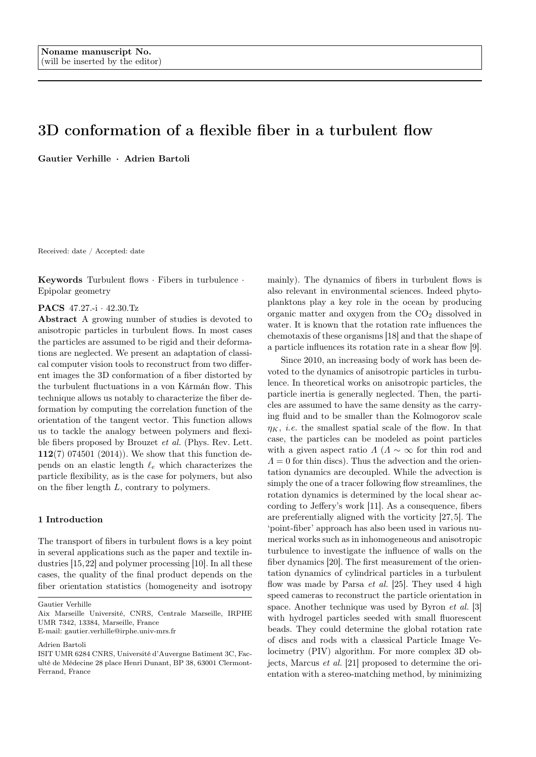# 3D conformation of a flexible fiber in a turbulent flow

Gautier Verhille · Adrien Bartoli

Received: date / Accepted: date

Keywords Turbulent flows · Fibers in turbulence · Epipolar geometry

#### PACS 47.27.-i · 42.30.Tz

Abstract A growing number of studies is devoted to anisotropic particles in turbulent flows. In most cases the particles are assumed to be rigid and their deformations are neglected. We present an adaptation of classical computer vision tools to reconstruct from two different images the 3D conformation of a fiber distorted by the turbulent fluctuations in a von Kármán flow. This technique allows us notably to characterize the fiber deformation by computing the correlation function of the orientation of the tangent vector. This function allows us to tackle the analogy between polymers and flexible fibers proposed by Brouzet et al. (Phys. Rev. Lett. 112(7) 074501 (2014)). We show that this function depends on an elastic length  $\ell_e$  which characterizes the particle flexibility, as is the case for polymers, but also on the fiber length L, contrary to polymers.

# 1 Introduction

The transport of fibers in turbulent flows is a key point in several applications such as the paper and textile industries [15,22] and polymer processing [10]. In all these cases, the quality of the final product depends on the fiber orientation statistics (homogeneity and isotropy

Gautier Verhille

Adrien Bartoli

mainly). The dynamics of fibers in turbulent flows is also relevant in environmental sciences. Indeed phytoplanktons play a key role in the ocean by producing organic matter and oxygen from the  $CO<sub>2</sub>$  dissolved in water. It is known that the rotation rate influences the chemotaxis of these organisms [18] and that the shape of a particle influences its rotation rate in a shear flow [9].

Since 2010, an increasing body of work has been devoted to the dynamics of anisotropic particles in turbulence. In theoretical works on anisotropic particles, the particle inertia is generally neglected. Then, the particles are assumed to have the same density as the carrying fluid and to be smaller than the Kolmogorov scale  $\eta_K$ , *i.e.* the smallest spatial scale of the flow. In that case, the particles can be modeled as point particles with a given aspect ratio  $\Lambda$  ( $\Lambda \sim \infty$  for thin rod and  $\Lambda = 0$  for thin discs). Thus the advection and the orientation dynamics are decoupled. While the advection is simply the one of a tracer following flow streamlines, the rotation dynamics is determined by the local shear according to Jeffery's work [11]. As a consequence, fibers are preferentially aligned with the vorticity [27,5]. The 'point-fiber' approach has also been used in various numerical works such as in inhomogeneous and anisotropic turbulence to investigate the influence of walls on the fiber dynamics [20]. The first measurement of the orientation dynamics of cylindrical particles in a turbulent flow was made by Parsa  $et$  al. [25]. They used 4 high speed cameras to reconstruct the particle orientation in space. Another technique was used by Byron *et al.* [3] with hydrogel particles seeded with small fluorescent beads. They could determine the global rotation rate of discs and rods with a classical Particle Image Velocimetry (PIV) algorithm. For more complex 3D objects, Marcus et al. [21] proposed to determine the orientation with a stereo-matching method, by minimizing

Aix Marseille Université, CNRS, Centrale Marseille, IRPHE UMR 7342, 13384, Marseille, France

E-mail: gautier.verhille@irphe.univ-mrs.fr

ISIT UMR 6284 CNRS, Université d'Auvergne Batiment 3C, Faculté de Médecine 28 place Henri Dunant, BP 38, 63001 Clermont-Ferrand, France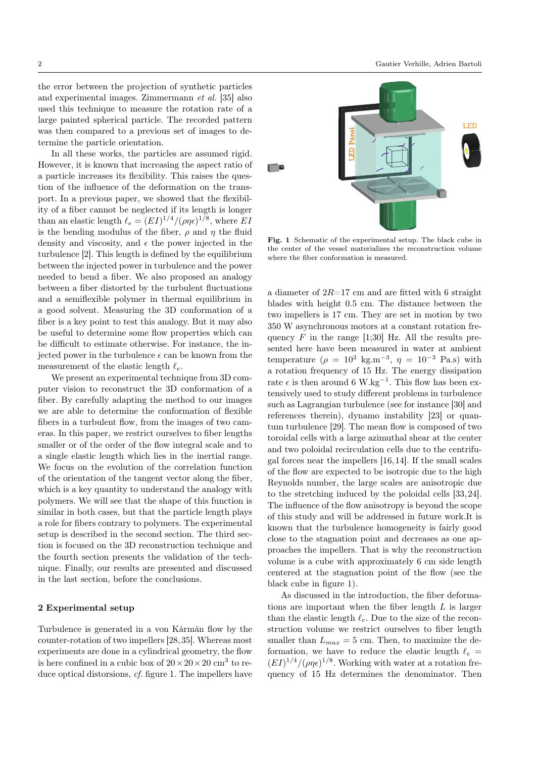the error between the projection of synthetic particles and experimental images. Zimmermann et al. [35] also used this technique to measure the rotation rate of a large painted spherical particle. The recorded pattern was then compared to a previous set of images to determine the particle orientation.

In all these works, the particles are assumed rigid. However, it is known that increasing the aspect ratio of a particle increases its flexibility. This raises the question of the influence of the deformation on the transport. In a previous paper, we showed that the flexibility of a fiber cannot be neglected if its length is longer than an elastic length  $\ell_e = (EI)^{1/4} / (\rho \eta \epsilon)^{1/8}$ , where EI is the bending modulus of the fiber,  $\rho$  and  $\eta$  the fluid density and viscosity, and  $\epsilon$  the power injected in the turbulence [2]. This length is defined by the equilibrium between the injected power in turbulence and the power needed to bend a fiber. We also proposed an analogy between a fiber distorted by the turbulent fluctuations and a semiflexible polymer in thermal equilibrium in a good solvent. Measuring the 3D conformation of a fiber is a key point to test this analogy. But it may also be useful to determine some flow properties which can be difficult to estimate otherwise. For instance, the injected power in the turbulence  $\epsilon$  can be known from the measurement of the elastic length  $\ell_e$ .

We present an experimental technique from 3D computer vision to reconstruct the 3D conformation of a fiber. By carefully adapting the method to our images we are able to determine the conformation of flexible fibers in a turbulent flow, from the images of two cameras. In this paper, we restrict ourselves to fiber lengths smaller or of the order of the flow integral scale and to a single elastic length which lies in the inertial range. We focus on the evolution of the correlation function of the orientation of the tangent vector along the fiber, which is a key quantity to understand the analogy with polymers. We will see that the shape of this function is similar in both cases, but that the particle length plays a role for fibers contrary to polymers. The experimental setup is described in the second section. The third section is focused on the 3D reconstruction technique and the fourth section presents the validation of the technique. Finally, our results are presented and discussed in the last section, before the conclusions.

# 2 Experimental setup

Turbulence is generated in a von Kármán flow by the counter-rotation of two impellers [28,35]. Whereas most experiments are done in a cylindrical geometry, the flow is here confined in a cubic box of  $20 \times 20 \times 20$  cm<sup>3</sup> to re-



Fig. 1 Schematic of the experimental setup. The black cube in the center of the vessel materializes the reconstruction volume where the fiber conformation is measured.

we have required to it growing a constant of the particle and the interaction of the interaction of the base weaks of the particle and the interaction of the interaction of the interaction of the interaction of the intera a diameter of  $2R=17$  cm and are fitted with 6 straight blades with height 0.5 cm. The distance between the two impellers is 17 cm. They are set in motion by two 350 W asynchronous motors at a constant rotation frequency  $F$  in the range [1;30] Hz. All the results presented here have been measured in water at ambient temperature  $(\rho = 10^3 \text{ kg.m}^{-3}, \eta = 10^{-3} \text{ Pa.s})$  with a rotation frequency of 15 Hz. The energy dissipation rate  $\epsilon$  is then around 6 W.kg<sup>-1</sup>. This flow has been extensively used to study different problems in turbulence such as Lagrangian turbulence (see for instance [30] and references therein), dynamo instability [23] or quantum turbulence [29]. The mean flow is composed of two toroidal cells with a large azimuthal shear at the center and two poloidal recirculation cells due to the centrifugal forces near the impellers [16,14]. If the small scales of the flow are expected to be isotropic due to the high Reynolds number, the large scales are anisotropic due to the stretching induced by the poloidal cells [33,24]. The influence of the flow anisotropy is beyond the scope of this study and will be addressed in future work.It is known that the turbulence homogeneity is fairly good close to the stagnation point and decreases as one approaches the impellers. That is why the reconstruction volume is a cube with approximately 6 cm side length centered at the stagnation point of the flow (see the black cube in figure 1).

As discussed in the introduction, the fiber deformations are important when the fiber length L is larger than the elastic length  $\ell_e$ . Due to the size of the reconstruction volume we restrict ourselves to fiber length smaller than  $L_{max} = 5$  cm. Then, to maximize the deformation, we have to reduce the elastic length  $\ell_e =$  $(EI)^{1/4}/(\rho\eta\epsilon)^{1/8}$ . Working with water at a rotation frequency of 15 Hz determines the denominator. Then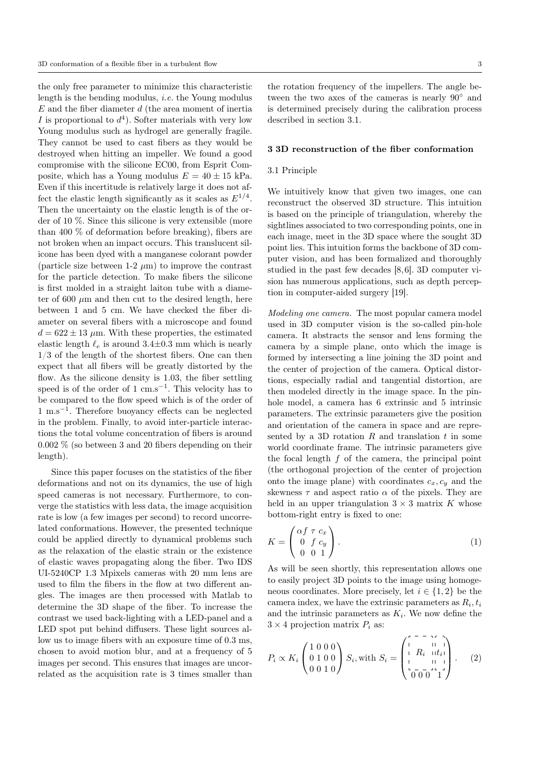the only free parameter to minimize this characteristic length is the bending modulus, i.e. the Young modulus  $E$  and the fiber diameter  $d$  (the area moment of inertia I is proportional to  $d^4$ ). Softer materials with very low Young modulus such as hydrogel are generally fragile. They cannot be used to cast fibers as they would be destroyed when hitting an impeller. We found a good compromise with the silicone EC00, from Esprit Composite, which has a Young modulus  $E = 40 \pm 15$  kPa. Even if this incertitude is relatively large it does not affect the elastic length significantly as it scales as  $E^{1/4}$ . Then the uncertainty on the elastic length is of the order of 10 %. Since this silicone is very extensible (more than 400 % of deformation before breaking), fibers are not broken when an impact occurs. This translucent silicone has been dyed with a manganese colorant powder (particle size between 1-2  $\mu$ m) to improve the contrast for the particle detection. To make fibers the silicone is first molded in a straight laiton tube with a diameter of 600  $\mu$ m and then cut to the desired length, here between 1 and 5 cm. We have checked the fiber diameter on several fibers with a microscope and found  $d = 622 \pm 13$  µm. With these properties, the estimated elastic length  $\ell_e$  is around 3.4 $\pm$ 0.3 mm which is nearly 1/3 of the length of the shortest fibers. One can then expect that all fibers will be greatly distorted by the flow. As the silicone density is 1.03, the fiber settling speed is of the order of 1 cm.s<sup>-1</sup>. This velocity has to be compared to the flow speed which is of the order of 1 m.s<sup>−</sup><sup>1</sup> . Therefore buoyancy effects can be neglected in the problem. Finally, to avoid inter-particle interactions the total volume concentration of fibers is around 0.002 % (so between 3 and 20 fibers depending on their length).

Since this paper focuses on the statistics of the fiber deformations and not on its dynamics, the use of high speed cameras is not necessary. Furthermore, to converge the statistics with less data, the image acquisition rate is low (a few images per second) to record uncorrelated conformations. However, the presented technique could be applied directly to dynamical problems such as the relaxation of the elastic strain or the existence of elastic waves propagating along the fiber. Two IDS UI-5240CP 1.3 Mpixels cameras with 20 mm lens are used to film the fibers in the flow at two different angles. The images are then processed with Matlab to determine the 3D shape of the fiber. To increase the contrast we used back-lighting with a LED-panel and a LED spot put behind diffusers. These light sources allow us to image fibers with an exposure time of 0.3 ms, chosen to avoid motion blur, and at a frequency of 5 images per second. This ensures that images are uncorrelated as the acquisition rate is 3 times smaller than

the rotation frequency of the impellers. The angle between the two axes of the cameras is nearly 90◦ and is determined precisely during the calibration process described in section 3.1.

### 3 3D reconstruction of the fiber conformation

### 3.1 Principle

We intuitively know that given two images, one can reconstruct the observed 3D structure. This intuition is based on the principle of triangulation, whereby the sightlines associated to two corresponding points, one in each image, meet in the 3D space where the sought 3D point lies. This intuition forms the backbone of 3D computer vision, and has been formalized and thoroughly studied in the past few decades [8,6]. 3D computer vision has numerous applications, such as depth perception in computer-aided surgery [19].

Modeling one camera. The most popular camera model used in 3D computer vision is the so-called pin-hole camera. It abstracts the sensor and lens forming the camera by a simple plane, onto which the image is formed by intersecting a line joining the 3D point and the center of projection of the camera. Optical distortions, especially radial and tangential distortion, are then modeled directly in the image space. In the pinhole model, a camera has 6 extrinsic and 5 intrinsic parameters. The extrinsic parameters give the position and orientation of the camera in space and are represented by a 3D rotation  $R$  and translation  $t$  in some world coordinate frame. The intrinsic parameters give the focal length  $f$  of the camera, the principal point (the orthogonal projection of the center of projection onto the image plane) with coordinates  $c_x, c_y$  and the skewness  $\tau$  and aspect ratio  $\alpha$  of the pixels. They are held in an upper triangulation  $3 \times 3$  matrix K whose bottom-right entry is fixed to one:

$$
K = \begin{pmatrix} \alpha f & \tau & c_x \\ 0 & f & c_y \\ 0 & 0 & 1 \end{pmatrix} . \tag{1}
$$

As will be seen shortly, this representation allows one to easily project 3D points to the image using homogeneous coordinates. More precisely, let  $i \in \{1,2\}$  be the camera index, we have the extrinsic parameters as  $R_i, t_i$ and the intrinsic parameters as  $K_i$ . We now define the  $3 \times 4$  projection matrix  $P_i$  as:

$$
P_i \propto K_i \begin{pmatrix} 1 & 0 & 0 & 0 \\ 0 & 1 & 0 & 0 \\ 0 & 0 & 1 & 0 \end{pmatrix} S_i, \text{with } S_i = \begin{pmatrix} 1 & 0 & 0 & 0 \\ 1 & R_i & 0 & 1 \\ 0 & 0 & 1 & 1 \\ 0 & 0 & 0 & 1 \end{pmatrix}. \tag{2}
$$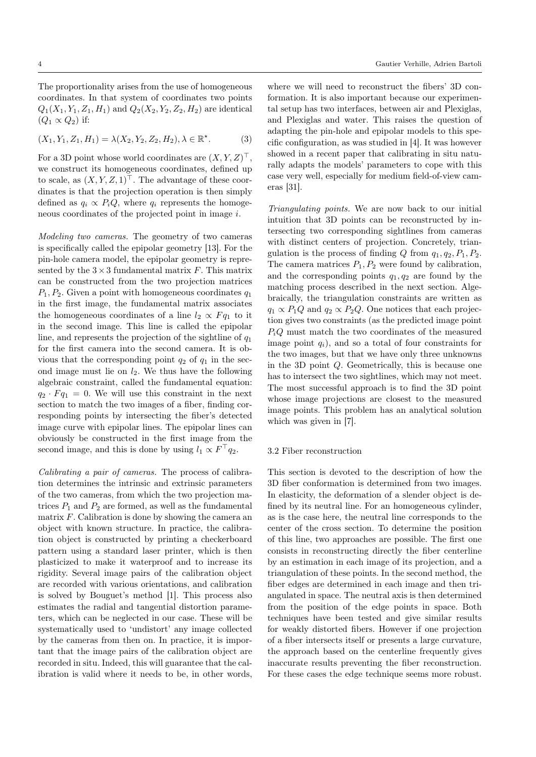The proportionality arises from the use of homogeneous coordinates. In that system of coordinates two points  $Q_1(X_1, Y_1, Z_1, H_1)$  and  $Q_2(X_2, Y_2, Z_2, H_2)$  are identical  $(Q_1 \propto Q_2)$  if:

$$
(X_1, Y_1, Z_1, H_1) = \lambda(X_2, Y_2, Z_2, H_2), \lambda \in \mathbb{R}^*.
$$
 (3)

For a 3D point whose world coordinates are  $(X, Y, Z)^\top$ , we construct its homogeneous coordinates, defined up to scale, as  $(X, Y, Z, 1)^\top$ . The advantage of these coordinates is that the projection operation is then simply defined as  $q_i \propto P_i Q$ , where  $q_i$  represents the homogeneous coordinates of the projected point in image i.

Modeling two cameras. The geometry of two cameras is specifically called the epipolar geometry [13]. For the pin-hole camera model, the epipolar geometry is represented by the  $3 \times 3$  fundamental matrix F. This matrix can be constructed from the two projection matrices  $P_1, P_2$ . Given a point with homogeneous coordinates  $q_1$ in the first image, the fundamental matrix associates the homogeneous coordinates of a line  $l_2 \propto F q_1$  to it in the second image. This line is called the epipolar line, and represents the projection of the sightline of  $q_1$ for the first camera into the second camera. It is obvious that the corresponding point  $q_2$  of  $q_1$  in the second image must lie on  $l_2$ . We thus have the following algebraic constraint, called the fundamental equation:  $q_2 \cdot F q_1 = 0$ . We will use this constraint in the next section to match the two images of a fiber, finding corresponding points by intersecting the fiber's detected image curve with epipolar lines. The epipolar lines can obviously be constructed in the first image from the second image, and this is done by using  $l_1 \propto F^{\top} q_2$ .

Calibrating a pair of cameras. The process of calibration determines the intrinsic and extrinsic parameters of the two cameras, from which the two projection matrices  $P_1$  and  $P_2$  are formed, as well as the fundamental matrix  $F$ . Calibration is done by showing the camera an object with known structure. In practice, the calibration object is constructed by printing a checkerboard pattern using a standard laser printer, which is then plasticized to make it waterproof and to increase its rigidity. Several image pairs of the calibration object are recorded with various orientations, and calibration is solved by Bouguet's method [1]. This process also estimates the radial and tangential distortion parameters, which can be neglected in our case. These will be systematically used to 'undistort' any image collected by the cameras from then on. In practice, it is important that the image pairs of the calibration object are recorded in situ. Indeed, this will guarantee that the calibration is valid where it needs to be, in other words,

where we will need to reconstruct the fibers' 3D conformation. It is also important because our experimental setup has two interfaces, between air and Plexiglas, and Plexiglas and water. This raises the question of adapting the pin-hole and epipolar models to this specific configuration, as was studied in [4]. It was however showed in a recent paper that calibrating in situ naturally adapts the models' parameters to cope with this case very well, especially for medium field-of-view cameras [31].

Triangulating points. We are now back to our initial intuition that 3D points can be reconstructed by intersecting two corresponding sightlines from cameras with distinct centers of projection. Concretely, triangulation is the process of finding Q from  $q_1, q_2, P_1, P_2$ . The camera matrices  $P_1, P_2$  were found by calibration, and the corresponding points  $q_1, q_2$  are found by the matching process described in the next section. Algebraically, the triangulation constraints are written as  $q_1 \propto P_1 Q$  and  $q_2 \propto P_2 Q$ . One notices that each projection gives two constraints (as the predicted image point  $P_iQ$  must match the two coordinates of the measured image point  $q_i$ ), and so a total of four constraints for the two images, but that we have only three unknowns in the 3D point Q. Geometrically, this is because one has to intersect the two sightlines, which may not meet. The most successful approach is to find the 3D point whose image projections are closest to the measured image points. This problem has an analytical solution which was given in [7].

## 3.2 Fiber reconstruction

This section is devoted to the description of how the 3D fiber conformation is determined from two images. In elasticity, the deformation of a slender object is defined by its neutral line. For an homogeneous cylinder, as is the case here, the neutral line corresponds to the center of the cross section. To determine the position of this line, two approaches are possible. The first one consists in reconstructing directly the fiber centerline by an estimation in each image of its projection, and a triangulation of these points. In the second method, the fiber edges are determined in each image and then triangulated in space. The neutral axis is then determined from the position of the edge points in space. Both techniques have been tested and give similar results for weakly distorted fibers. However if one projection of a fiber intersects itself or presents a large curvature, the approach based on the centerline frequently gives inaccurate results preventing the fiber reconstruction. For these cases the edge technique seems more robust.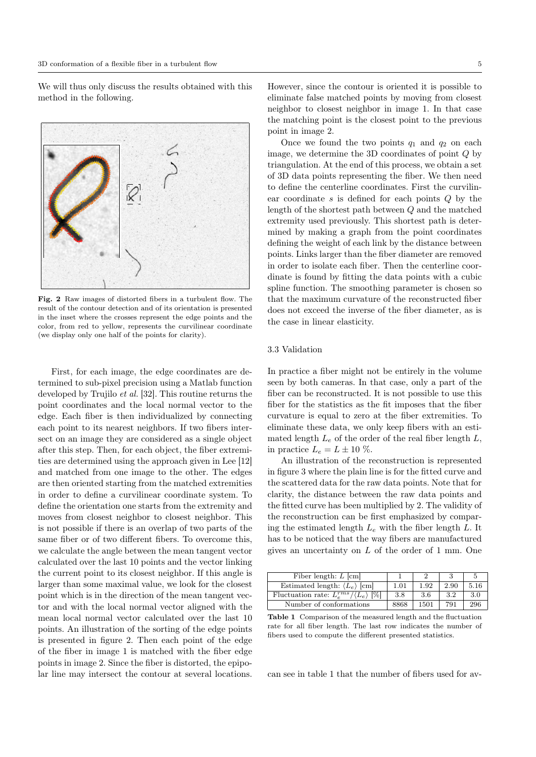We will thus only discuss the results obtained with this method in the following.



Fig. 2 Raw images of distorted fibers in a turbulent flow. The result of the contour detection and of its orientation is presented in the inset where the crosses represent the edge points and the color, from red to yellow, represents the curvilinear coordinate (we display only one half of the points for clarity).

First, for each image, the edge coordinates are determined to sub-pixel precision using a Matlab function developed by Trujilo et al. [32]. This routine returns the point coordinates and the local normal vector to the edge. Each fiber is then individualized by connecting each point to its nearest neighbors. If two fibers intersect on an image they are considered as a single object after this step. Then, for each object, the fiber extremities are determined using the approach given in Lee [12] and matched from one image to the other. The edges are then oriented starting from the matched extremities in order to define a curvilinear coordinate system. To define the orientation one starts from the extremity and moves from closest neighbor to closest neighbor. This is not possible if there is an overlap of two parts of the same fiber or of two different fibers. To overcome this, we calculate the angle between the mean tangent vector calculated over the last 10 points and the vector linking the current point to its closest neighbor. If this angle is larger than some maximal value, we look for the closest point which is in the direction of the mean tangent vector and with the local normal vector aligned with the mean local normal vector calculated over the last 10 points. An illustration of the sorting of the edge points is presented in figure 2. Then each point of the edge of the fiber in image 1 is matched with the fiber edge points in image 2. Since the fiber is distorted, the epipolar line may intersect the contour at several locations.

However, since the contour is oriented it is possible to eliminate false matched points by moving from closest neighbor to closest neighbor in image 1. In that case the matching point is the closest point to the previous point in image 2.

Once we found the two points  $q_1$  and  $q_2$  on each image, we determine the 3D coordinates of point  $Q$  by triangulation. At the end of this process, we obtain a set of 3D data points representing the fiber. We then need to define the centerline coordinates. First the curvilinear coordinate s is defined for each points Q by the length of the shortest path between Q and the matched extremity used previously. This shortest path is determined by making a graph from the point coordinates defining the weight of each link by the distance between points. Links larger than the fiber diameter are removed in order to isolate each fiber. Then the centerline coordinate is found by fitting the data points with a cubic spline function. The smoothing parameter is chosen so that the maximum curvature of the reconstructed fiber does not exceed the inverse of the fiber diameter, as is the case in linear elasticity.

# 3.3 Validation

In practice a fiber might not be entirely in the volume seen by both cameras. In that case, only a part of the fiber can be reconstructed. It is not possible to use this fiber for the statistics as the fit imposes that the fiber curvature is equal to zero at the fiber extremities. To eliminate these data, we only keep fibers with an estimated length  $L_e$  of the order of the real fiber length  $L$ , in practice  $L_e = L \pm 10\%$ .

An illustration of the reconstruction is represented in figure 3 where the plain line is for the fitted curve and the scattered data for the raw data points. Note that for clarity, the distance between the raw data points and the fitted curve has been multiplied by 2. The validity of the reconstruction can be first emphasized by comparing the estimated length  $L_e$  with the fiber length  $L$ . It has to be noticed that the way fibers are manufactured gives an uncertainty on L of the order of 1 mm. One

| Fiber length: $L$ [cm]                                   |      |      |      |      |
|----------------------------------------------------------|------|------|------|------|
| Estimated length: $\langle L_e \rangle$ [cm]             | 1.01 | 1.92 | 2.90 | 5.16 |
| Fluctuation rate: $L_{e}^{rms}/\langle L_{e}\rangle$ [%] | 3.8  | 3.6  | 3.2  | 3.0  |
| Number of conformations                                  | 8868 | 1501 | 791  | 296  |

Table 1 Comparison of the measured length and the fluctuation rate for all fiber length. The last row indicates the number of fibers used to compute the different presented statistics.

can see in table 1 that the number of fibers used for av-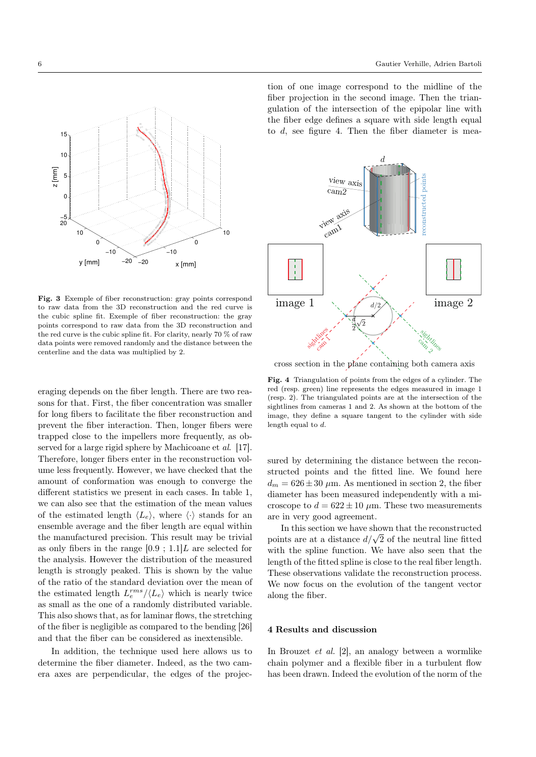



Fig. 3 Exemple of fiber reconstruction: gray points correspond to raw data from the 3D reconstruction and the red curve is the cubic spline fit. Exemple of fiber reconstruction: the gray points correspond to raw data from the 3D reconstruction and the red curve is the cubic spline fit. For clarity, nearly 70 % of raw data points were removed randomly and the distance between the centerline and the data was multiplied by 2.

eraging depends on the fiber length. There are two reasons for that. First, the fiber concentration was smaller for long fibers to facilitate the fiber reconstruction and prevent the fiber interaction. Then, longer fibers were trapped close to the impellers more frequently, as observed for a large rigid sphere by Machicoane et al. [17]. Therefore, longer fibers enter in the reconstruction volume less frequently. However, we have checked that the amount of conformation was enough to converge the different statistics we present in each cases. In table 1, we can also see that the estimation of the mean values of the estimated length  $\langle L_e \rangle$ , where  $\langle \cdot \rangle$  stands for an ensemble average and the fiber length are equal within the manufactured precision. This result may be trivial as only fibers in the range  $[0.9; 1.1]L$  are selected for the analysis. However the distribution of the measured length is strongly peaked. This is shown by the value of the ratio of the standard deviation over the mean of the estimated length  $L_e^{rms} / \langle L_e \rangle$  which is nearly twice as small as the one of a randomly distributed variable. This also shows that, as for laminar flows, the stretching of the fiber is negligible as compared to the bending [26] and that the fiber can be considered as inextensible.

In addition, the technique used here allows us to determine the fiber diameter. Indeed, as the two camera axes are perpendicular, the edges of the projec-



cross section in the plane containing both camera axis

Fig. 4 Triangulation of points from the edges of a cylinder. The red (resp. green) line represents the edges measured in image 1 (resp. 2). The triangulated points are at the intersection of the sightlines from cameras 1 and 2. As shown at the bottom of the image, they define a square tangent to the cylinder with side length equal to d.

sured by determining the distance between the reconstructed points and the fitted line. We found here  $d_m = 626 \pm 30 \mu$ m. As mentioned in section 2, the fiber diameter has been measured independently with a microscope to  $d = 622 \pm 10 \ \mu \text{m}$ . These two measurements are in very good agreement.

In this section we have shown that the reconstructed In this section we have shown that the reconstructed<br>points are at a distance  $d/\sqrt{2}$  of the neutral line fitted with the spline function. We have also seen that the length of the fitted spline is close to the real fiber length. These observations validate the reconstruction process. We now focus on the evolution of the tangent vector along the fiber.

#### 4 Results and discussion

In Brouzet et al. [2], an analogy between a wormlike chain polymer and a flexible fiber in a turbulent flow has been drawn. Indeed the evolution of the norm of the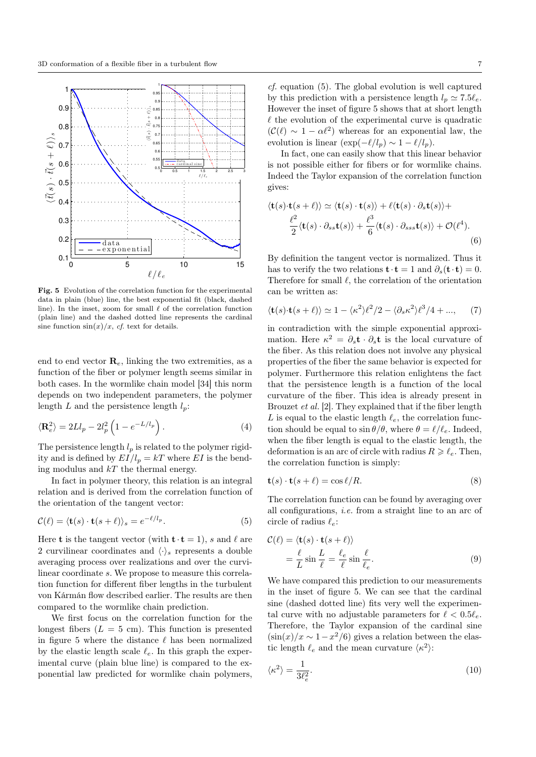

Fig. 5 Evolution of the correlation function for the experimental data in plain (blue) line, the best exponential fit (black, dashed line). In the inset, zoom for small  $\ell$  of the correlation function (plain line) and the dashed dotted line represents the cardinal sine function  $\sin(x)/x$ , cf. text for details.

end to end vector  $\mathbf{R}_{e}$ , linking the two extremities, as a function of the fiber or polymer length seems similar in both cases. In the wormlike chain model [34] this norm depends on two independent parameters, the polymer length  $L$  and the persistence length  $l_p$ :

$$
\langle \mathbf{R}_e^2 \rangle = 2Ll_p - 2l_p^2 \left( 1 - e^{-L/l_p} \right). \tag{4}
$$

The persistence length  $l_p$  is related to the polymer rigidity and is defined by  $EI/l_p = kT$  where EI is the bending modulus and  $kT$  the thermal energy.

In fact in polymer theory, this relation is an integral relation and is derived from the correlation function of the orientation of the tangent vector:

$$
\mathcal{C}(\ell) = \langle \mathbf{t}(s) \cdot \mathbf{t}(s+\ell) \rangle_s = e^{-\ell/l_p}.
$$
 (5)

Here **t** is the tangent vector (with  $\mathbf{t} \cdot \mathbf{t} = 1$ ), s and  $\ell$  are 2 curvilinear coordinates and  $\langle \cdot \rangle_s$  represents a double averaging process over realizations and over the curvilinear coordinate s. We propose to measure this correlation function for different fiber lengths in the turbulent von Kármán flow described earlier. The results are then compared to the wormlike chain prediction.

We first focus on the correlation function for the longest fibers  $(L = 5$  cm). This function is presented in figure 5 where the distance  $\ell$  has been normalized by the elastic length scale  $\ell_e$ . In this graph the experimental curve (plain blue line) is compared to the exponential law predicted for wormlike chain polymers,

cf. equation (5). The global evolution is well captured by this prediction with a persistence length  $l_p \simeq 7.5\ell_e$ . However the inset of figure 5 shows that at short length  $\ell$  the evolution of the experimental curve is quadratic  $(\mathcal{C}(\ell) \sim 1 - \alpha \ell^2)$  whereas for an exponential law, the evolution is linear  $(\exp(-\ell/l_p) \sim 1 - \ell/l_p)$ .

In fact, one can easily show that this linear behavior is not possible either for fibers or for wormlike chains. Indeed the Taylor expansion of the correlation function gives:

$$
\langle \mathbf{t}(s) \cdot \mathbf{t}(s+\ell) \rangle \simeq \langle \mathbf{t}(s) \cdot \mathbf{t}(s) \rangle + \ell \langle \mathbf{t}(s) \cdot \partial_s \mathbf{t}(s) \rangle + \frac{\ell^2}{2} \langle \mathbf{t}(s) \cdot \partial_{ss} \mathbf{t}(s) \rangle + \frac{\ell^3}{6} \langle \mathbf{t}(s) \cdot \partial_{sss} \mathbf{t}(s) \rangle + \mathcal{O}(\ell^4).
$$
\n(6)

By definition the tangent vector is normalized. Thus it has to verify the two relations  $\mathbf{t} \cdot \mathbf{t} = 1$  and  $\partial_s(\mathbf{t} \cdot \mathbf{t}) = 0$ . Therefore for small  $\ell$ , the correlation of the orientation can be written as:

$$
\langle \mathbf{t}(s) \cdot \mathbf{t}(s+\ell) \rangle \simeq 1 - \langle \kappa^2 \rangle \ell^2 / 2 - \langle \partial_s \kappa^2 \rangle \ell^3 / 4 + ..., \tag{7}
$$

in contradiction with the simple exponential approximation. Here  $\kappa^2 = \partial_s \mathbf{t} \cdot \partial_s \mathbf{t}$  is the local curvature of the fiber. As this relation does not involve any physical properties of the fiber the same behavior is expected for polymer. Furthermore this relation enlightens the fact that the persistence length is a function of the local curvature of the fiber. This idea is already present in Brouzet et al. [2]. They explained that if the fiber length L is equal to the elastic length  $\ell_e$ , the correlation function should be equal to  $\sin \theta / \theta$ , where  $\theta = \ell / \ell_e$ . Indeed, when the fiber length is equal to the elastic length, the deformation is an arc of circle with radius  $R \geq \ell_e$ . Then, the correlation function is simply:

$$
\mathbf{t}(s) \cdot \mathbf{t}(s+\ell) = \cos \ell/R. \tag{8}
$$

The correlation function can be found by averaging over all configurations, i.e. from a straight line to an arc of circle of radius  $\ell_e$ :

$$
\mathcal{C}(\ell) = \langle \mathbf{t}(s) \cdot \mathbf{t}(s+\ell) \rangle \n= \frac{\ell}{L} \sin \frac{L}{\ell} = \frac{\ell_e}{\ell} \sin \frac{\ell}{\ell_e}.
$$
\n(9)

We have compared this prediction to our measurements in the inset of figure 5. We can see that the cardinal sine (dashed dotted line) fits very well the experimental curve with no adjustable parameters for  $\ell < 0.5\ell_e$ . Therefore, the Taylor expansion of the cardinal sine  $(\sin(x)/x \sim 1-x^2/6)$  gives a relation between the elastic length  $\ell_e$  and the mean curvature  $\langle \kappa^2 \rangle$ :

$$
\langle \kappa^2 \rangle = \frac{1}{3\ell_e^2}.\tag{10}
$$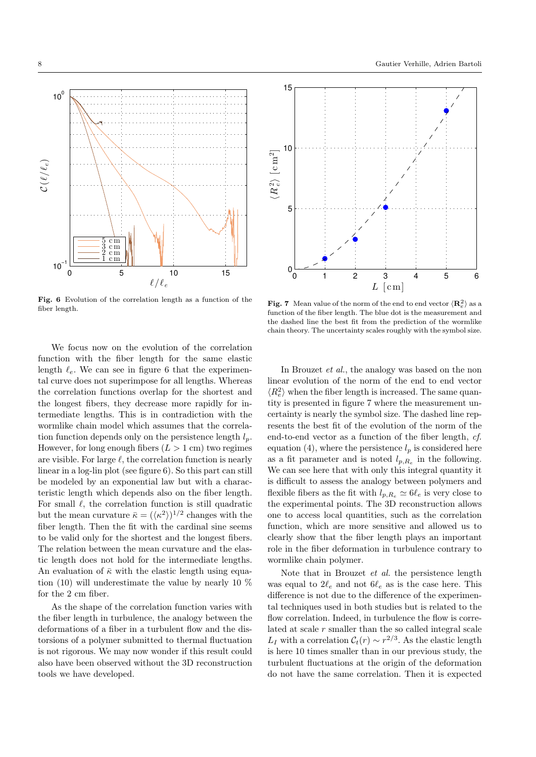

Fig. 6 Evolution of the correlation length as a function of the fiber length.

We focus now on the evolution of the correlation function with the fiber length for the same elastic length  $\ell_e$ . We can see in figure 6 that the experimental curve does not superimpose for all lengths. Whereas the correlation functions overlap for the shortest and the longest fibers, they decrease more rapidly for intermediate lengths. This is in contradiction with the wormlike chain model which assumes that the correlation function depends only on the persistence length  $l_p$ . However, for long enough fibers  $(L > 1$  cm) two regimes are visible. For large  $\ell$ , the correlation function is nearly linear in a log-lin plot (see figure 6). So this part can still be modeled by an exponential law but with a characteristic length which depends also on the fiber length. For small  $\ell$ , the correlation function is still quadratic but the mean curvature  $\bar{\kappa} = (\langle \kappa^2 \rangle)^{1/2}$  changes with the fiber length. Then the fit with the cardinal sine seems to be valid only for the shortest and the longest fibers. The relation between the mean curvature and the elastic length does not hold for the intermediate lengths. An evaluation of  $\bar{\kappa}$  with the elastic length using equation (10) will underestimate the value by nearly 10 % for the 2 cm fiber.

As the shape of the correlation function varies with the fiber length in turbulence, the analogy between the deformations of a fiber in a turbulent flow and the distorsions of a polymer submitted to thermal fluctuation is not rigorous. We may now wonder if this result could also have been observed without the 3D reconstruction tools we have developed.



**Fig. 7** Mean value of the norm of the end to end vector  $\langle \mathbf{R}_{e}^2 \rangle$  as a function of the fiber length. The blue dot is the measurement and the dashed line the best fit from the prediction of the wormlike chain theory. The uncertainty scales roughly with the symbol size.

In Brouzet et al., the analogy was based on the non linear evolution of the norm of the end to end vector  $\langle R_e^2 \rangle$  when the fiber length is increased. The same quantity is presented in figure 7 where the measurement uncertainty is nearly the symbol size. The dashed line represents the best fit of the evolution of the norm of the end-to-end vector as a function of the fiber length, cf. equation (4), where the persistence  $l_p$  is considered here as a fit parameter and is noted  $l_{p,R_e}$  in the following. We can see here that with only this integral quantity it is difficult to assess the analogy between polymers and flexible fibers as the fit with  $l_{p,Re} \simeq 6\ell_e$  is very close to the experimental points. The 3D reconstruction allows one to access local quantities, such as the correlation function, which are more sensitive and allowed us to clearly show that the fiber length plays an important role in the fiber deformation in turbulence contrary to wormlike chain polymer.

Note that in Brouzet et al. the persistence length was equal to  $2\ell_e$  and not  $6\ell_e$  as is the case here. This difference is not due to the difference of the experimental techniques used in both studies but is related to the flow correlation. Indeed, in turbulence the flow is correlated at scale  $r$  smaller than the so called integral scale L<sub>I</sub> with a correlation  $C_t(r) \sim r^{2/3}$ . As the elastic length is here 10 times smaller than in our previous study, the turbulent fluctuations at the origin of the deformation do not have the same correlation. Then it is expected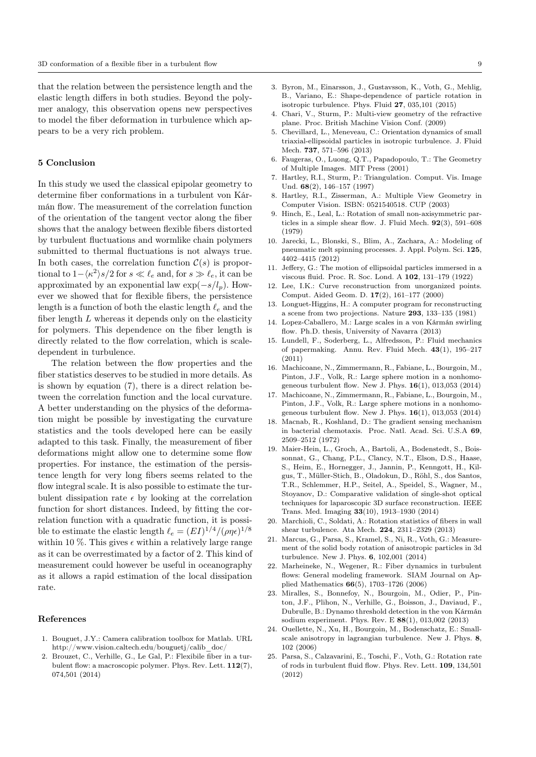that the relation between the persistence length and the elastic length differs in both studies. Beyond the polymer analogy, this observation opens new perspectives to model the fiber deformation in turbulence which appears to be a very rich problem.

## 5 Conclusion

In this study we used the classical epipolar geometry to determine fiber conformations in a turbulent von Kármán flow. The measurement of the correlation function of the orientation of the tangent vector along the fiber shows that the analogy between flexible fibers distorted by turbulent fluctuations and wormlike chain polymers submitted to thermal fluctuations is not always true. In both cases, the correlation function  $\mathcal{C}(s)$  is proportional to  $1 - \langle \kappa^2 \rangle s / 2$  for  $s \ll \ell_e$  and, for  $s \gg \ell_e$ , it can be approximated by an exponential law  $\exp(-s/l_p)$ . However we showed that for flexible fibers, the persistence length is a function of both the elastic length  $\ell_e$  and the fiber length  $L$  whereas it depends only on the elasticity for polymers. This dependence on the fiber length is directly related to the flow correlation, which is scaledependent in turbulence.

The relation between the flow properties and the fiber statistics deserves to be studied in more details. As is shown by equation (7), there is a direct relation between the correlation function and the local curvature. A better understanding on the physics of the deformation might be possible by investigating the curvature statistics and the tools developed here can be easily adapted to this task. Finally, the measurement of fiber deformations might allow one to determine some flow properties. For instance, the estimation of the persistence length for very long fibers seems related to the flow integral scale. It is also possible to estimate the turbulent dissipation rate  $\epsilon$  by looking at the correlation function for short distances. Indeed, by fitting the correlation function with a quadratic function, it is possible to estimate the elastic length  $\ell_e = (EI)^{1/4}/(\rho \eta \epsilon)^{1/8}$ within 10 %. This gives  $\epsilon$  within a relatively large range as it can be overrestimated by a factor of 2. This kind of measurement could however be useful in oceanography as it allows a rapid estimation of the local dissipation rate.

#### References

- 1. Bouguet, J.Y.: Camera calibration toolbox for Matlab. URL http://www.vision.caltech.edu/bouguetj/calib\_doc/
- 2. Brouzet, C., Verhille, G., Le Gal, P.: Flexibile fiber in a turbulent flow: a macroscopic polymer. Phys. Rev. Lett. 112(7), 074,501 (2014)
- 3. Byron, M., Einarsson, J., Gustavsson, K., Voth, G., Mehlig, B., Variano, E.: Shape-dependence of particle rotation in isotropic turbulence. Phys. Fluid 27, 035,101 (2015)
- 4. Chari, V., Sturm, P.: Multi-view geometry of the refractive plane. Proc. British Machine Vision Conf. (2009)
- 5. Chevillard, L., Meneveau, C.: Orientation dynamics of small triaxial-ellipsoidal particles in isotropic turbulence. J. Fluid Mech. 737, 571–596 (2013)
- 6. Faugeras, O., Luong, Q.T., Papadopoulo, T.: The Geometry of Multiple Images. MIT Press (2001)
- 7. Hartley, R.I., Sturm, P.: Triangulation. Comput. Vis. Image Und. 68(2), 146–157 (1997)
- 8. Hartley, R.I., Zisserman, A.: Multiple View Geometry in Computer Vision. ISBN: 0521540518. CUP (2003)
- 9. Hinch, E., Leal, L.: Rotation of small non-axisymmetric particles in a simple shear flow. J. Fluid Mech. 92(3), 591–608 (1979)
- 10. Jarecki, L., Blonski, S., Blim, A., Zachara, A.: Modeling of pneumatic melt spinning processes. J. Appl. Polym. Sci. 125, 4402–4415 (2012)
- 11. Jeffery, G.: The motion of ellipsoidal particles immersed in a viscous fluid. Proc. R. Soc. Lond. A 102, 131–179 (1922)
- 12. Lee, I.K.: Curve reconstruction from unorganized points. Comput. Aided Geom. D. 17(2), 161–177 (2000)
- 13. Longuet-Higgins, H.: A computer program for reconstructing a scene from two projections. Nature 293, 133–135 (1981)
- 14. Lopez-Caballero, M.: Large scales in a von Kármán swirling flow. Ph.D. thesis, University of Navarra (2013)
- 15. Lundell, F., Soderberg, L., Alfredsson, P.: Fluid mechanics of papermaking. Annu. Rev. Fluid Mech. 43(1), 195–217 (2011)
- 16. Machicoane, N., Zimmermann, R., Fabiane, L., Bourgoin, M., Pinton, J.F., Volk, R.: Large sphere motion in a nonhomogeneous turbulent flow. New J. Phys. 16(1), 013,053 (2014)
- 17. Machicoane, N., Zimmermann, R., Fabiane, L., Bourgoin, M., Pinton, J.F., Volk, R.: Large sphere motions in a nonhomogeneous turbulent flow. New J. Phys. 16(1), 013,053 (2014)
- 18. Macnab, R., Koshland, D.: The gradient sensing mechanism in bacterial chemotaxis. Proc. Natl. Acad. Sci. U.S.A 69, 2509–2512 (1972)
- 19. Maier-Hein, L., Groch, A., Bartoli, A., Bodenstedt, S., Boissonnat, G., Chang, P.L., Clancy, N.T., Elson, D.S., Haase, S., Heim, E., Hornegger, J., Jannin, P., Kenngott, H., Kilgus, T., Müller-Stich, B., Oladokun, D., Röhl, S., dos Santos, T.R., Schlemmer, H.P., Seitel, A., Speidel, S., Wagner, M., Stoyanov, D.: Comparative validation of single-shot optical techniques for laparoscopic 3D surface reconstruction. IEEE Trans. Med. Imaging 33(10), 1913–1930 (2014)
- 20. Marchioli, C., Soldati, A.: Rotation statistics of fibers in wall shear turbulence. Ata Mech. 224, 2311–2329 (2013)
- 21. Marcus, G., Parsa, S., Kramel, S., Ni, R., Voth, G.: Measurement of the solid body rotation of anisotropic particles in 3d turbulence. New J. Phys. 6, 102,001 (2014)
- 22. Marheineke, N., Wegener, R.: Fiber dynamics in turbulent flows: General modeling framework. SIAM Journal on Applied Mathematics 66(5), 1703–1726 (2006)
- 23. Miralles, S., Bonnefoy, N., Bourgoin, M., Odier, P., Pinton, J.F., Plihon, N., Verhille, G., Boisson, J., Daviaud, F., Dubrulle, B.: Dynamo threshold detection in the von Kármán sodium experiment. Phys. Rev. E 88(1), 013,002 (2013)
- 24. Ouellette, N., Xu, H., Bourgoin, M., Bodenschatz, E.: Smallscale anisotropy in lagrangian turbulence. New J. Phys. 8, 102 (2006)
- 25. Parsa, S., Calzavarini, E., Toschi, F., Voth, G.: Rotation rate of rods in turbulent fluid flow. Phys. Rev. Lett. 109, 134,501 (2012)